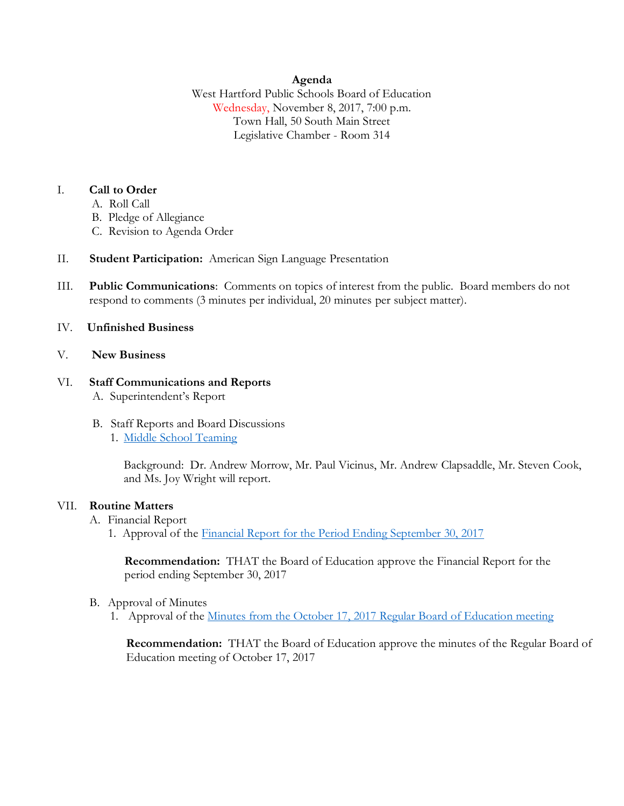## **Agenda**

West Hartford Public Schools Board of Education Wednesday, November 8, 2017, 7:00 p.m. Town Hall, 50 South Main Street Legislative Chamber - Room 314

## I. **Call to Order**

- A. Roll Call
- B. Pledge of Allegiance
- C. Revision to Agenda Order
- II. **Student Participation:** American Sign Language Presentation
- III. **Public Communications**: Comments on topics of interest from the public. Board members do not respond to comments (3 minutes per individual, 20 minutes per subject matter).

## IV. **Unfinished Business**

V. **New Business**

#### VI. **Staff Communications and Reports** A. Superintendent's Report

- B. Staff Reports and Board Discussions
	- 1. [Middle School Teaming](http://www.whps.org/uploaded/BOE/BOE_Documents/20171108/11-8-17_Agenda_Item_VI.B.1._MS_Teaming.pdf?1509653596756)

Background: Dr. Andrew Morrow, Mr. Paul Vicinus, Mr. Andrew Clapsaddle, Mr. Steven Cook, and Ms. Joy Wright will report.

# VII. **Routine Matters**

- A. Financial Report
	- 1. Approval of the [Financial Report for the Period Ending September 30, 2017](http://www.whps.org/uploaded/BOE/BOE_Documents/20171108/Financial_Report_-_September_30,_2017.pdf?1509653556476)

**Recommendation:** THAT the Board of Education approve the Financial Report for the period ending September 30, 2017

- B. Approval of Minutes
	- 1. Approval of the [Minutes from the October 17, 2017 Regular Board of Education meeting](http://www.whps.org/uploaded/BOE/BOE_Documents/20171108/revised_minutes_from_oct_17,_2017.pdf?1509653571811)

**Recommendation:** THAT the Board of Education approve the minutes of the Regular Board of Education meeting of October 17, 2017